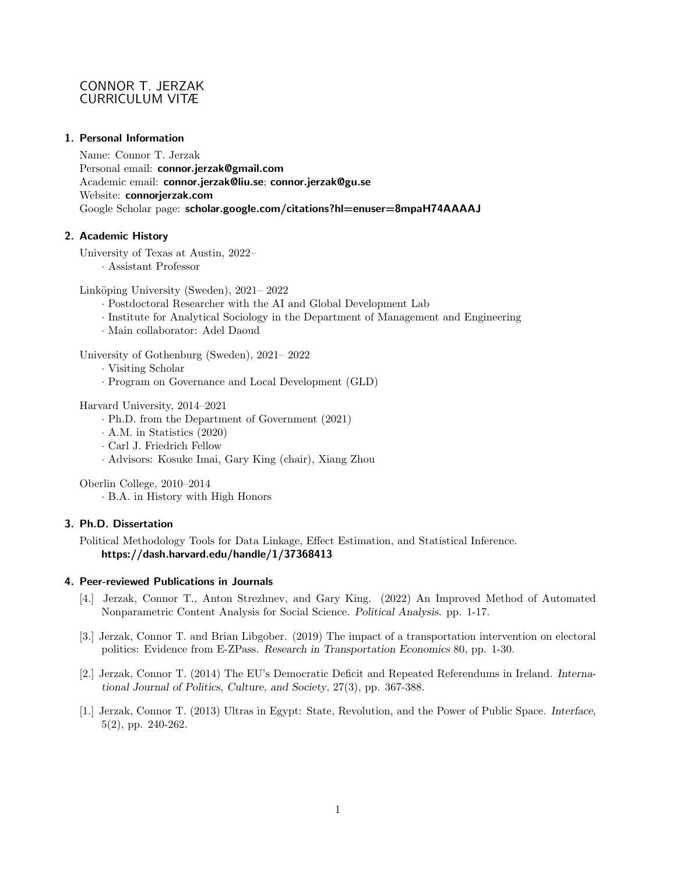# CONNOR T. JERZAK CURRICULUM VITÆ

## 1. Personal Information

Name: Connor T. Jerzak Personal email: connor.jerzak@gmail.com Academic email: connor.jerzak@liu.se; connor.jerzak@gu.se Website: connorjerzak.com Google Scholar page: scholar.google.com/citations?hl=enuser=8mpaH74AAAAJ

## 2. Academic History

University of Texas at Austin, 2022– · Assistant Professor

Linköping University (Sweden), 2021–2022

- · Postdoctoral Researcher with the AI and Global Development Lab
- · Institute for Analytical Sociology in the Department of Management and Engineering
- · Main collaborator: Adel Daoud

University of Gothenburg (Sweden), 2021– 2022

- · Visiting Scholar
- · Program on Governance and Local Development (GLD)

Harvard University, 2014–2021

- · Ph.D. from the Department of Government (2021)
- · A.M. in Statistics (2020)
- · Carl J. Friedrich Fellow
- · Advisors: Kosuke Imai, Gary King (chair), Xiang Zhou

Oberlin College, 2010–2014

· B.A. in History with High Honors

# 3. Ph.D. Dissertation

Political Methodology Tools for Data Linkage, Effect Estimation, and Statistical Inference. https://dash.harvard.edu/handle/1/37368413

# 4. Peer-reviewed Publications in Journals

- [4.] Jerzak, Connor T., Anton Strezhnev, and Gary King. (2022) An Improved Method of Automated Nonparametric Content Analysis for Social Science. Political Analysis. pp. 1-17.
- [3.] Jerzak, Connor T. and Brian Libgober. (2019) The impact of a transportation intervention on electoral politics: Evidence from E-ZPass. Research in Transportation Economics 80, pp. 1-30.
- [2.] Jerzak, Connor T. (2014) The EU's Democratic Deficit and Repeated Referendums in Ireland. International Journal of Politics, Culture, and Society, 27(3), pp. 367-388.
- [1.] Jerzak, Connor T. (2013) Ultras in Egypt: State, Revolution, and the Power of Public Space. Interface, 5(2), pp. 240-262.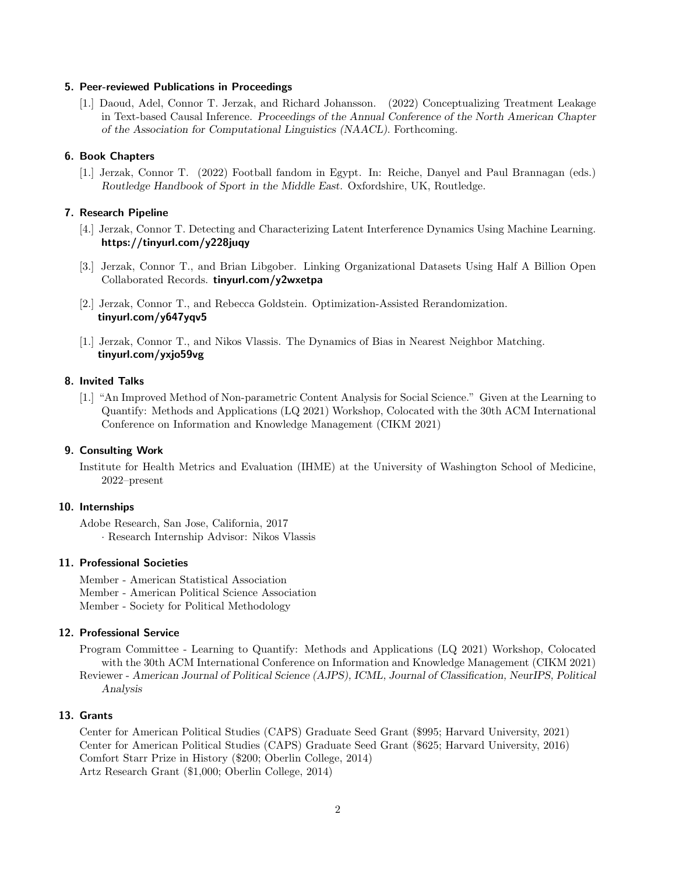#### 5. Peer-reviewed Publications in Proceedings

[1.] Daoud, Adel, Connor T. Jerzak, and Richard Johansson. (2022) Conceptualizing Treatment Leakage in Text-based Causal Inference. Proceedings of the Annual Conference of the North American Chapter of the Association for Computational Linguistics (NAACL). Forthcoming.

### 6. Book Chapters

[1.] Jerzak, Connor T. (2022) Football fandom in Egypt. In: Reiche, Danyel and Paul Brannagan (eds.) Routledge Handbook of Sport in the Middle East. Oxfordshire, UK, Routledge.

### 7. Research Pipeline

- [4.] Jerzak, Connor T. Detecting and Characterizing Latent Interference Dynamics Using Machine Learning. https://tinyurl.com/y228juqy
- [3.] Jerzak, Connor T., and Brian Libgober. Linking Organizational Datasets Using Half A Billion Open Collaborated Records. tinyurl.com/y2wxetpa
- [2.] Jerzak, Connor T., and Rebecca Goldstein. Optimization-Assisted Rerandomization. tinyurl.com/y647yqv5
- [1.] Jerzak, Connor T., and Nikos Vlassis. The Dynamics of Bias in Nearest Neighbor Matching. tinyurl.com/yxjo59vg

### 8. Invited Talks

[1.] "An Improved Method of Non-parametric Content Analysis for Social Science." Given at the Learning to Quantify: Methods and Applications (LQ 2021) Workshop, Colocated with the 30th ACM International Conference on Information and Knowledge Management (CIKM 2021)

#### 9. Consulting Work

Institute for Health Metrics and Evaluation (IHME) at the University of Washington School of Medicine, 2022–present

#### 10. Internships

Adobe Research, San Jose, California, 2017 · Research Internship Advisor: Nikos Vlassis

## 11. Professional Societies

Member - American Statistical Association Member - American Political Science Association Member - Society for Political Methodology

#### 12. Professional Service

Program Committee - Learning to Quantify: Methods and Applications (LQ 2021) Workshop, Colocated with the 30th ACM International Conference on Information and Knowledge Management (CIKM 2021) Reviewer - American Journal of Political Science (AJPS), ICML, Journal of Classification, NeurIPS, Political Analysis

### 13. Grants

Center for American Political Studies (CAPS) Graduate Seed Grant (\$995; Harvard University, 2021) Center for American Political Studies (CAPS) Graduate Seed Grant (\$625; Harvard University, 2016) Comfort Starr Prize in History (\$200; Oberlin College, 2014) Artz Research Grant (\$1,000; Oberlin College, 2014)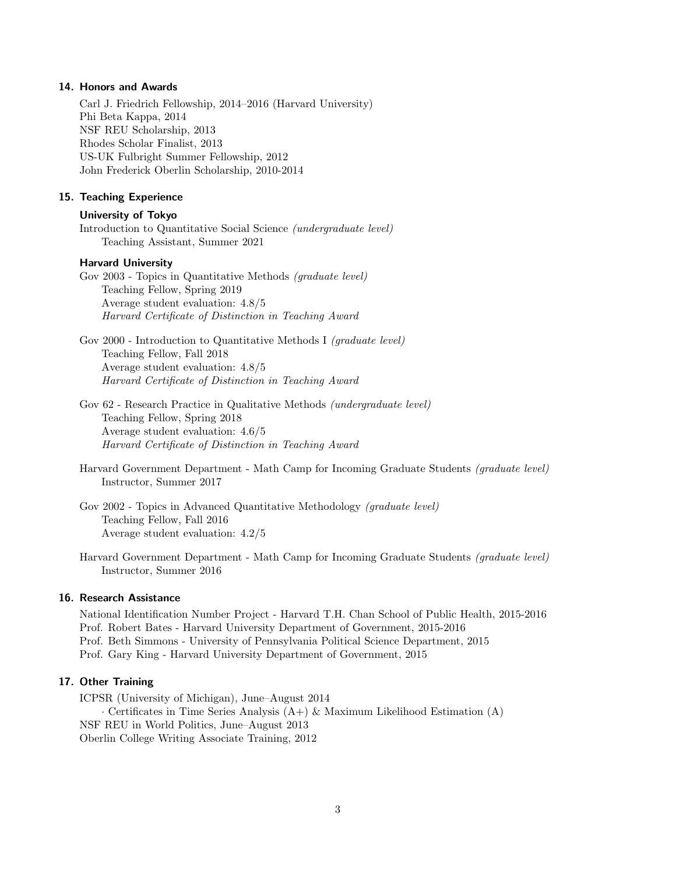#### 14. Honors and Awards

Carl J. Friedrich Fellowship, 2014–2016 (Harvard University) Phi Beta Kappa, 2014 NSF REU Scholarship, 2013 Rhodes Scholar Finalist, 2013 US-UK Fulbright Summer Fellowship, 2012 John Frederick Oberlin Scholarship, 2010-2014

## 15. Teaching Experience

### University of Tokyo

Introduction to Quantitative Social Science (undergraduate level) Teaching Assistant, Summer 2021

### Harvard University

Gov 2003 - Topics in Quantitative Methods (graduate level) Teaching Fellow, Spring 2019 Average student evaluation: 4.8/5 Harvard Certificate of Distinction in Teaching Award

Gov 2000 - Introduction to Quantitative Methods I (graduate level) Teaching Fellow, Fall 2018 Average student evaluation: 4.8/5 Harvard Certificate of Distinction in Teaching Award

Gov 62 - Research Practice in Qualitative Methods (undergraduate level) Teaching Fellow, Spring 2018 Average student evaluation: 4.6/5 Harvard Certificate of Distinction in Teaching Award

Harvard Government Department - Math Camp for Incoming Graduate Students (graduate level) Instructor, Summer 2017

Gov 2002 - Topics in Advanced Quantitative Methodology (graduate level) Teaching Fellow, Fall 2016 Average student evaluation: 4.2/5

Harvard Government Department - Math Camp for Incoming Graduate Students (graduate level) Instructor, Summer 2016

### 16. Research Assistance

National Identification Number Project - Harvard T.H. Chan School of Public Health, 2015-2016 Prof. Robert Bates - Harvard University Department of Government, 2015-2016 Prof. Beth Simmons - University of Pennsylvania Political Science Department, 2015 Prof. Gary King - Harvard University Department of Government, 2015

### 17. Other Training

ICPSR (University of Michigan), June–August 2014 · Certificates in Time Series Analysis (A+) & Maximum Likelihood Estimation (A) NSF REU in World Politics, June–August 2013 Oberlin College Writing Associate Training, 2012